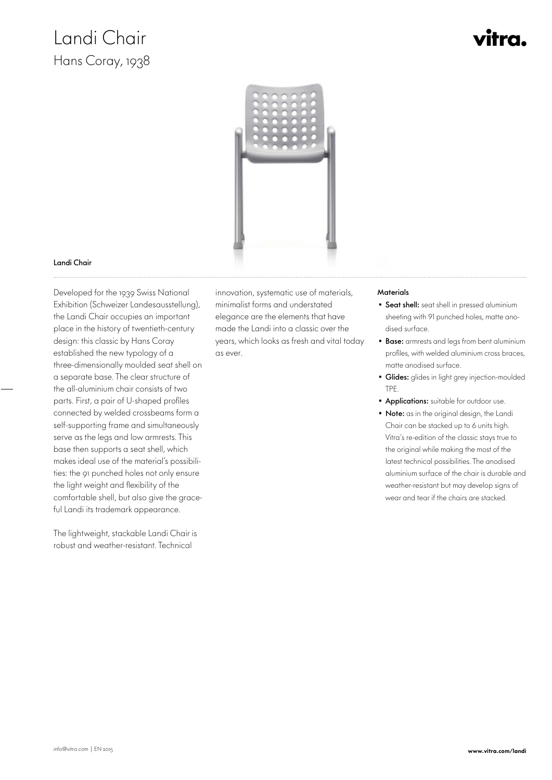## Landi Chair Hans Coray, 1938



#### Landi Chair

 Developed for the 1939 Swiss National Exhibition (Schweizer Landesausstellung), the Landi Chair occupies an important place in the history of twentieth-century design: this classic by Hans Coray established the new typology of a three-dimensionally moulded seat shell on a separate base. The clear structure of the all-aluminium chair consists of two parts. First, a pair of U-shaped profiles connected by welded crossbeams form a self-supporting frame and simultaneously serve as the legs and low armrests. This base then supports a seat shell, which makes ideal use of the material's possibilities: the 91 punched holes not only ensure the light weight and flexibility of the comfortable shell, but also give the graceful Landi its trademark appearance.

The lightweight, stackable Landi Chair is robust and weather-resistant. Technical

innovation, systematic use of materials, minimalist forms and understated elegance are the elements that have made the Landi into a classic over the years, which looks as fresh and vital today as ever.

#### **Materials**

- Seat shell: seat shell in pressed aluminium sheeting with 91 punched holes, matte anodised surface.
- Base: armrests and legs from bent aluminium profiles, with welded aluminium cross braces, matte anodised surface.
- Glides: glides in light grey injection-moulded TPE.
- Applications: suitable for outdoor use.
- Note: as in the original design, the Landi Chair can be stacked up to 6 units high. Vitra's re-edition of the classic stays true to the original while making the most of the latest technical possibilities. The anodised aluminium surface of the chair is durable and weather-resistant but may develop signs of wear and tear if the chairs are stacked.